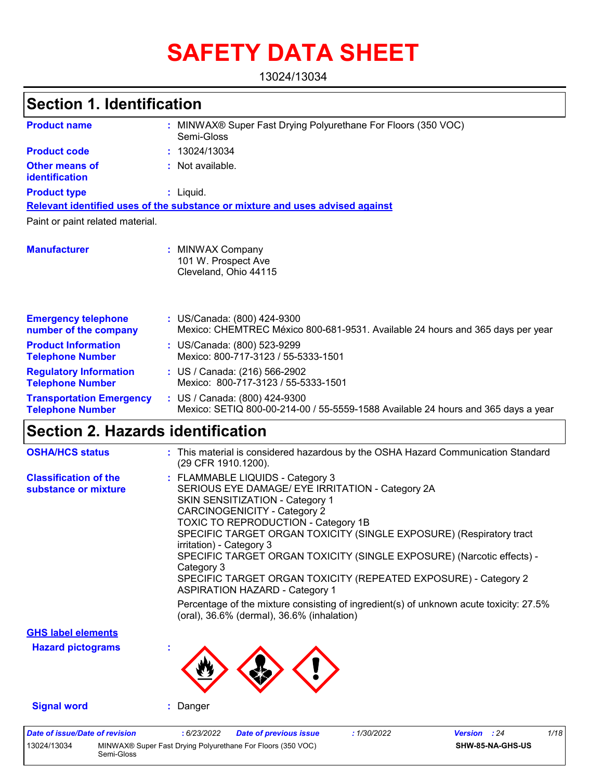# **SAFETY DATA SHEET**

13024/13034

# **Section 1. Identification**

| <b>Product name</b>                                        | MINWAX® Super Fast Drying Polyurethane For Floors (350 VOC)<br>Semi-Gloss                                          |
|------------------------------------------------------------|--------------------------------------------------------------------------------------------------------------------|
| <b>Product code</b>                                        | 13024/13034                                                                                                        |
| <b>Other means of</b><br>identification                    | : Not available.                                                                                                   |
| <b>Product type</b>                                        | $:$ Liquid.                                                                                                        |
|                                                            | Relevant identified uses of the substance or mixture and uses advised against                                      |
| Paint or paint related material.                           |                                                                                                                    |
| <b>Manufacturer</b>                                        | : MINWAX Company<br>101 W. Prospect Ave<br>Cleveland, Ohio 44115                                                   |
| <b>Emergency telephone</b><br>number of the company        | : US/Canada: (800) 424-9300<br>Mexico: CHEMTREC México 800-681-9531. Available 24 hours and 365 days per year      |
| <b>Product Information</b><br><b>Telephone Number</b>      | : US/Canada: (800) 523-9299<br>Mexico: 800-717-3123 / 55-5333-1501                                                 |
| <b>Regulatory Information</b><br><b>Telephone Number</b>   | : US / Canada: (216) 566-2902<br>Mexico: 800-717-3123 / 55-5333-1501                                               |
| <b>Transportation Emergency</b><br><b>Telephone Number</b> | : US / Canada: (800) 424-9300<br>Mexico: SETIQ 800-00-214-00 / 55-5559-1588 Available 24 hours and 365 days a year |

### **Section 2. Hazards identification**

Semi-Gloss

| <b>OSHA/HCS status</b>                               | : This material is considered hazardous by the OSHA Hazard Communication Standard<br>(29 CFR 1910.1200).                                                                                                                                                                                                                                                                                                                                                                                                                                                                                                                                                   |  |
|------------------------------------------------------|------------------------------------------------------------------------------------------------------------------------------------------------------------------------------------------------------------------------------------------------------------------------------------------------------------------------------------------------------------------------------------------------------------------------------------------------------------------------------------------------------------------------------------------------------------------------------------------------------------------------------------------------------------|--|
| <b>Classification of the</b><br>substance or mixture | : FLAMMABLE LIQUIDS - Category 3<br>SERIOUS EYE DAMAGE/ EYE IRRITATION - Category 2A<br><b>SKIN SENSITIZATION - Category 1</b><br><b>CARCINOGENICITY - Category 2</b><br>TOXIC TO REPRODUCTION - Category 1B<br>SPECIFIC TARGET ORGAN TOXICITY (SINGLE EXPOSURE) (Respiratory tract<br>irritation) - Category 3<br>SPECIFIC TARGET ORGAN TOXICITY (SINGLE EXPOSURE) (Narcotic effects) -<br>Category 3<br>SPECIFIC TARGET ORGAN TOXICITY (REPEATED EXPOSURE) - Category 2<br><b>ASPIRATION HAZARD - Category 1</b><br>Percentage of the mixture consisting of ingredient(s) of unknown acute toxicity: 27.5%<br>(oral), 36.6% (dermal), 36.6% (inhalation) |  |
| <b>GHS label elements</b>                            |                                                                                                                                                                                                                                                                                                                                                                                                                                                                                                                                                                                                                                                            |  |
| <b>Hazard pictograms</b>                             |                                                                                                                                                                                                                                                                                                                                                                                                                                                                                                                                                                                                                                                            |  |
| <b>Signal word</b>                                   | : Danger                                                                                                                                                                                                                                                                                                                                                                                                                                                                                                                                                                                                                                                   |  |
| <b>Date of issue/Date of revision</b><br>13024/13034 | 1/18<br>: 6/23/2022<br>: 1/30/2022<br>Version : 24<br><b>Date of previous issue</b><br>MINWAX® Super Fast Drying Polyurethane For Floors (350 VOC)<br>SHW-85-NA-GHS-US                                                                                                                                                                                                                                                                                                                                                                                                                                                                                     |  |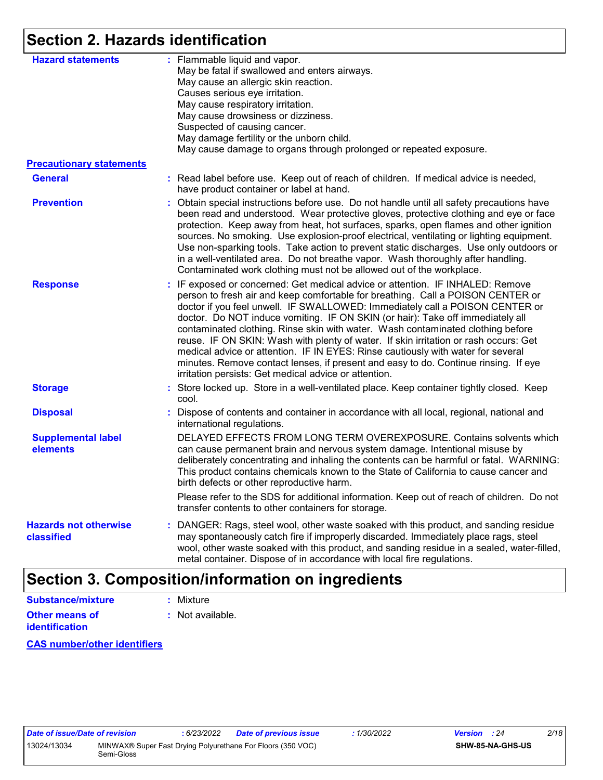### **Section 2. Hazards identification**

| <b>Hazard statements</b>                   | : Flammable liquid and vapor.<br>May be fatal if swallowed and enters airways.<br>May cause an allergic skin reaction.<br>Causes serious eye irritation.<br>May cause respiratory irritation.<br>May cause drowsiness or dizziness.<br>Suspected of causing cancer.<br>May damage fertility or the unborn child.<br>May cause damage to organs through prolonged or repeated exposure.                                                                                                                                                                                                                                                                                                                                                             |  |
|--------------------------------------------|----------------------------------------------------------------------------------------------------------------------------------------------------------------------------------------------------------------------------------------------------------------------------------------------------------------------------------------------------------------------------------------------------------------------------------------------------------------------------------------------------------------------------------------------------------------------------------------------------------------------------------------------------------------------------------------------------------------------------------------------------|--|
| <b>Precautionary statements</b>            |                                                                                                                                                                                                                                                                                                                                                                                                                                                                                                                                                                                                                                                                                                                                                    |  |
| <b>General</b>                             | : Read label before use. Keep out of reach of children. If medical advice is needed,<br>have product container or label at hand.                                                                                                                                                                                                                                                                                                                                                                                                                                                                                                                                                                                                                   |  |
| <b>Prevention</b>                          | : Obtain special instructions before use. Do not handle until all safety precautions have<br>been read and understood. Wear protective gloves, protective clothing and eye or face<br>protection. Keep away from heat, hot surfaces, sparks, open flames and other ignition<br>sources. No smoking. Use explosion-proof electrical, ventilating or lighting equipment.<br>Use non-sparking tools. Take action to prevent static discharges. Use only outdoors or<br>in a well-ventilated area. Do not breathe vapor. Wash thoroughly after handling.<br>Contaminated work clothing must not be allowed out of the workplace.                                                                                                                       |  |
| <b>Response</b>                            | : IF exposed or concerned: Get medical advice or attention. IF INHALED: Remove<br>person to fresh air and keep comfortable for breathing. Call a POISON CENTER or<br>doctor if you feel unwell. IF SWALLOWED: Immediately call a POISON CENTER or<br>doctor. Do NOT induce vomiting. IF ON SKIN (or hair): Take off immediately all<br>contaminated clothing. Rinse skin with water. Wash contaminated clothing before<br>reuse. IF ON SKIN: Wash with plenty of water. If skin irritation or rash occurs: Get<br>medical advice or attention. IF IN EYES: Rinse cautiously with water for several<br>minutes. Remove contact lenses, if present and easy to do. Continue rinsing. If eye<br>irritation persists: Get medical advice or attention. |  |
| <b>Storage</b>                             | : Store locked up. Store in a well-ventilated place. Keep container tightly closed. Keep<br>cool.                                                                                                                                                                                                                                                                                                                                                                                                                                                                                                                                                                                                                                                  |  |
| <b>Disposal</b>                            | Dispose of contents and container in accordance with all local, regional, national and<br>international regulations.                                                                                                                                                                                                                                                                                                                                                                                                                                                                                                                                                                                                                               |  |
| <b>Supplemental label</b><br>elements      | DELAYED EFFECTS FROM LONG TERM OVEREXPOSURE. Contains solvents which<br>can cause permanent brain and nervous system damage. Intentional misuse by<br>deliberately concentrating and inhaling the contents can be harmful or fatal. WARNING:<br>This product contains chemicals known to the State of California to cause cancer and<br>birth defects or other reproductive harm.                                                                                                                                                                                                                                                                                                                                                                  |  |
|                                            | Please refer to the SDS for additional information. Keep out of reach of children. Do not<br>transfer contents to other containers for storage.                                                                                                                                                                                                                                                                                                                                                                                                                                                                                                                                                                                                    |  |
| <b>Hazards not otherwise</b><br>classified | DANGER: Rags, steel wool, other waste soaked with this product, and sanding residue<br>may spontaneously catch fire if improperly discarded. Immediately place rags, steel<br>wool, other waste soaked with this product, and sanding residue in a sealed, water-filled,<br>metal container. Dispose of in accordance with local fire regulations.                                                                                                                                                                                                                                                                                                                                                                                                 |  |

# **Section 3. Composition/information on ingredients**

| Substance/mixture     |  |
|-----------------------|--|
| <b>Other means of</b> |  |

**identification**

**:** Mixture

**:** Not available.

**CAS number/other identifiers**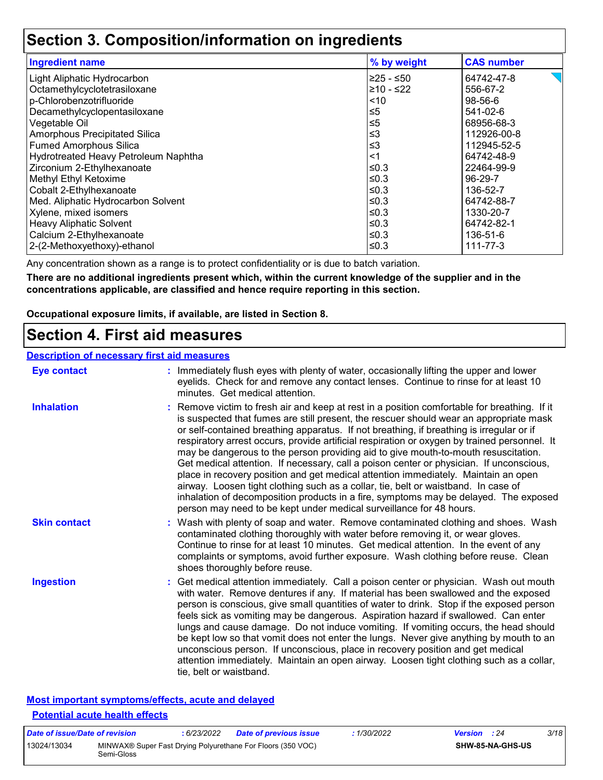### **Section 3. Composition/information on ingredients**

| % by weight | <b>CAS number</b> |
|-------------|-------------------|
| ≥25 - ≤50   | 64742-47-8        |
| 210 - ≤22   | 556-67-2          |
| ~10         | 98-56-6           |
| ≤5          | 541-02-6          |
| ≤5          | 68956-68-3        |
| ≤3          | 112926-00-8       |
| ≤3          | 112945-52-5       |
| <1          | 64742-48-9        |
| ≤0.3        | 22464-99-9        |
| ≤0.3        | 96-29-7           |
| ≤0.3        | 136-52-7          |
| ≤0.3        | 64742-88-7        |
| ≤0.3        | 1330-20-7         |
| $≤0.3$      | 64742-82-1        |
| $≤0.3$      | 136-51-6          |
| ≤0.3        | $111 - 77 - 3$    |
|             |                   |

Any concentration shown as a range is to protect confidentiality or is due to batch variation.

**There are no additional ingredients present which, within the current knowledge of the supplier and in the concentrations applicable, are classified and hence require reporting in this section.**

**Occupational exposure limits, if available, are listed in Section 8.**

### **Section 4. First aid measures**

#### **Description of necessary first aid measures**

| <b>Eye contact</b>  | : Immediately flush eyes with plenty of water, occasionally lifting the upper and lower<br>eyelids. Check for and remove any contact lenses. Continue to rinse for at least 10<br>minutes. Get medical attention.                                                                                                                                                                                                                                                                                                                                                                                                                                                                                                                                                                                                                                                                                              |
|---------------------|----------------------------------------------------------------------------------------------------------------------------------------------------------------------------------------------------------------------------------------------------------------------------------------------------------------------------------------------------------------------------------------------------------------------------------------------------------------------------------------------------------------------------------------------------------------------------------------------------------------------------------------------------------------------------------------------------------------------------------------------------------------------------------------------------------------------------------------------------------------------------------------------------------------|
| <b>Inhalation</b>   | : Remove victim to fresh air and keep at rest in a position comfortable for breathing. If it<br>is suspected that fumes are still present, the rescuer should wear an appropriate mask<br>or self-contained breathing apparatus. If not breathing, if breathing is irregular or if<br>respiratory arrest occurs, provide artificial respiration or oxygen by trained personnel. It<br>may be dangerous to the person providing aid to give mouth-to-mouth resuscitation.<br>Get medical attention. If necessary, call a poison center or physician. If unconscious,<br>place in recovery position and get medical attention immediately. Maintain an open<br>airway. Loosen tight clothing such as a collar, tie, belt or waistband. In case of<br>inhalation of decomposition products in a fire, symptoms may be delayed. The exposed<br>person may need to be kept under medical surveillance for 48 hours. |
| <b>Skin contact</b> | : Wash with plenty of soap and water. Remove contaminated clothing and shoes. Wash<br>contaminated clothing thoroughly with water before removing it, or wear gloves.<br>Continue to rinse for at least 10 minutes. Get medical attention. In the event of any<br>complaints or symptoms, avoid further exposure. Wash clothing before reuse. Clean<br>shoes thoroughly before reuse.                                                                                                                                                                                                                                                                                                                                                                                                                                                                                                                          |
| <b>Ingestion</b>    | : Get medical attention immediately. Call a poison center or physician. Wash out mouth<br>with water. Remove dentures if any. If material has been swallowed and the exposed<br>person is conscious, give small quantities of water to drink. Stop if the exposed person<br>feels sick as vomiting may be dangerous. Aspiration hazard if swallowed. Can enter<br>lungs and cause damage. Do not induce vomiting. If vomiting occurs, the head should<br>be kept low so that vomit does not enter the lungs. Never give anything by mouth to an<br>unconscious person. If unconscious, place in recovery position and get medical<br>attention immediately. Maintain an open airway. Loosen tight clothing such as a collar,<br>tie, belt or waistband.                                                                                                                                                        |

#### **Most important symptoms/effects, acute and delayed Potential acute health effects**

| Date of issue/Date of revision |            | 6/23/2022 | Date of previous issue                                      | : 1/30/2022 | <b>Version</b> : 24 |                         | 3/18 |
|--------------------------------|------------|-----------|-------------------------------------------------------------|-------------|---------------------|-------------------------|------|
| 13024/13034                    | Semi-Gloss |           | MINWAX® Super Fast Drying Polyurethane For Floors (350 VOC) |             |                     | <b>SHW-85-NA-GHS-US</b> |      |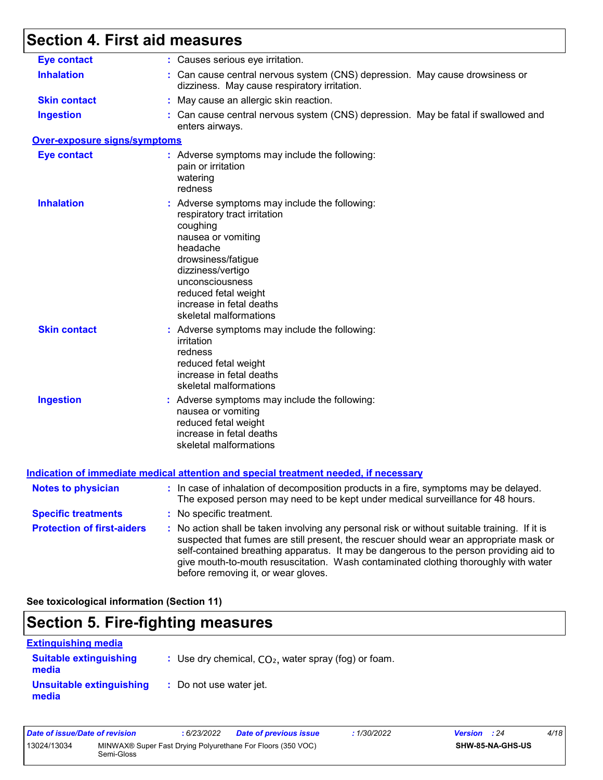# **Section 4. First aid measures**

| <b>Eye contact</b>                  | : Causes serious eye irritation.                                                                                                                                                                                                                                                                                                                                                                                |
|-------------------------------------|-----------------------------------------------------------------------------------------------------------------------------------------------------------------------------------------------------------------------------------------------------------------------------------------------------------------------------------------------------------------------------------------------------------------|
| <b>Inhalation</b>                   | : Can cause central nervous system (CNS) depression. May cause drowsiness or<br>dizziness. May cause respiratory irritation.                                                                                                                                                                                                                                                                                    |
| <b>Skin contact</b>                 | : May cause an allergic skin reaction.                                                                                                                                                                                                                                                                                                                                                                          |
| <b>Ingestion</b>                    | : Can cause central nervous system (CNS) depression. May be fatal if swallowed and<br>enters airways.                                                                                                                                                                                                                                                                                                           |
| <b>Over-exposure signs/symptoms</b> |                                                                                                                                                                                                                                                                                                                                                                                                                 |
| <b>Eye contact</b>                  | : Adverse symptoms may include the following:<br>pain or irritation<br>watering<br>redness                                                                                                                                                                                                                                                                                                                      |
| <b>Inhalation</b>                   | : Adverse symptoms may include the following:<br>respiratory tract irritation<br>coughing<br>nausea or vomiting<br>headache<br>drowsiness/fatigue<br>dizziness/vertigo<br>unconsciousness<br>reduced fetal weight<br>increase in fetal deaths<br>skeletal malformations                                                                                                                                         |
| <b>Skin contact</b>                 | : Adverse symptoms may include the following:<br>irritation<br>redness<br>reduced fetal weight<br>increase in fetal deaths<br>skeletal malformations                                                                                                                                                                                                                                                            |
| <b>Ingestion</b>                    | : Adverse symptoms may include the following:<br>nausea or vomiting<br>reduced fetal weight<br>increase in fetal deaths<br>skeletal malformations                                                                                                                                                                                                                                                               |
|                                     | <b>Indication of immediate medical attention and special treatment needed, if necessary</b>                                                                                                                                                                                                                                                                                                                     |
| <b>Notes to physician</b>           | : In case of inhalation of decomposition products in a fire, symptoms may be delayed.<br>The exposed person may need to be kept under medical surveillance for 48 hours.                                                                                                                                                                                                                                        |
| <b>Specific treatments</b>          | : No specific treatment.                                                                                                                                                                                                                                                                                                                                                                                        |
| <b>Protection of first-aiders</b>   | : No action shall be taken involving any personal risk or without suitable training. If it is<br>suspected that fumes are still present, the rescuer should wear an appropriate mask or<br>self-contained breathing apparatus. It may be dangerous to the person providing aid to<br>give mouth-to-mouth resuscitation. Wash contaminated clothing thoroughly with water<br>before removing it, or wear gloves. |

**See toxicological information (Section 11)**

# **Section 5. Fire-fighting measures**

| <b>Extinguishing media</b>             |                                                        |
|----------------------------------------|--------------------------------------------------------|
| <b>Suitable extinguishing</b><br>media | : Use dry chemical, $CO2$ , water spray (fog) or foam. |
| Unsuitable extinguishing<br>media      | : Do not use water jet.                                |

| Date of issue/Date of revision |                                                                           | 6/23/2022 | <b>Date of previous issue</b> | : 1/30/2022 | <b>Version</b> : 24 |                         | 4/18 |
|--------------------------------|---------------------------------------------------------------------------|-----------|-------------------------------|-------------|---------------------|-------------------------|------|
| 13024/13034                    | MINWAX® Super Fast Drying Polyurethane For Floors (350 VOC)<br>Semi-Gloss |           |                               |             |                     | <b>SHW-85-NA-GHS-US</b> |      |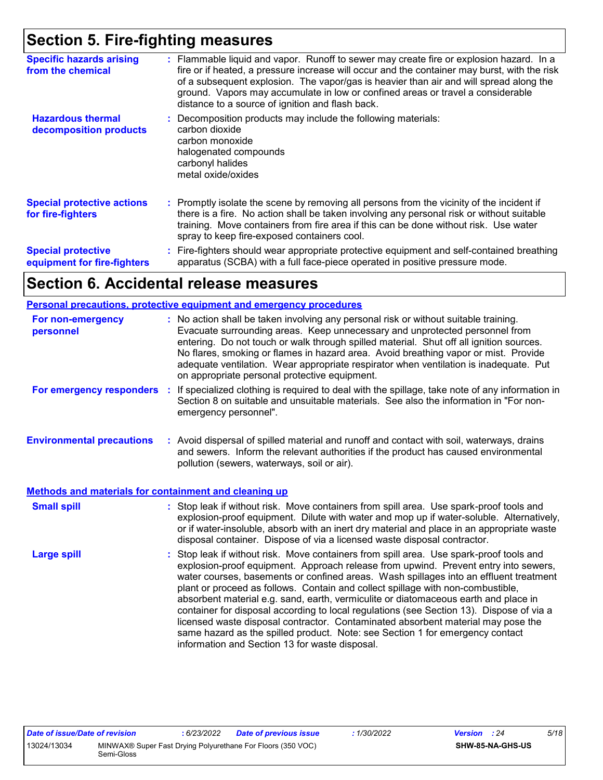### **Section 5. Fire-fighting measures**

| <b>Specific hazards arising</b><br>from the chemical     | : Flammable liquid and vapor. Runoff to sewer may create fire or explosion hazard. In a<br>fire or if heated, a pressure increase will occur and the container may burst, with the risk<br>of a subsequent explosion. The vapor/gas is heavier than air and will spread along the<br>ground. Vapors may accumulate in low or confined areas or travel a considerable<br>distance to a source of ignition and flash back. |
|----------------------------------------------------------|--------------------------------------------------------------------------------------------------------------------------------------------------------------------------------------------------------------------------------------------------------------------------------------------------------------------------------------------------------------------------------------------------------------------------|
| <b>Hazardous thermal</b><br>decomposition products       | Decomposition products may include the following materials:<br>carbon dioxide<br>carbon monoxide<br>halogenated compounds<br>carbonyl halides<br>metal oxide/oxides                                                                                                                                                                                                                                                      |
| <b>Special protective actions</b><br>for fire-fighters   | : Promptly isolate the scene by removing all persons from the vicinity of the incident if<br>there is a fire. No action shall be taken involving any personal risk or without suitable<br>training. Move containers from fire area if this can be done without risk. Use water<br>spray to keep fire-exposed containers cool.                                                                                            |
| <b>Special protective</b><br>equipment for fire-fighters | : Fire-fighters should wear appropriate protective equipment and self-contained breathing<br>apparatus (SCBA) with a full face-piece operated in positive pressure mode.                                                                                                                                                                                                                                                 |

### **Section 6. Accidental release measures**

#### **Personal precautions, protective equipment and emergency procedures**

| For non-emergency<br>personnel                               |    | : No action shall be taken involving any personal risk or without suitable training.<br>Evacuate surrounding areas. Keep unnecessary and unprotected personnel from<br>entering. Do not touch or walk through spilled material. Shut off all ignition sources.<br>No flares, smoking or flames in hazard area. Avoid breathing vapor or mist. Provide<br>adequate ventilation. Wear appropriate respirator when ventilation is inadequate. Put<br>on appropriate personal protective equipment.                                                                                                                                                                                                                                                                      |
|--------------------------------------------------------------|----|----------------------------------------------------------------------------------------------------------------------------------------------------------------------------------------------------------------------------------------------------------------------------------------------------------------------------------------------------------------------------------------------------------------------------------------------------------------------------------------------------------------------------------------------------------------------------------------------------------------------------------------------------------------------------------------------------------------------------------------------------------------------|
| For emergency responders                                     | ÷. | If specialized clothing is required to deal with the spillage, take note of any information in<br>Section 8 on suitable and unsuitable materials. See also the information in "For non-<br>emergency personnel".                                                                                                                                                                                                                                                                                                                                                                                                                                                                                                                                                     |
| <b>Environmental precautions</b>                             |    | : Avoid dispersal of spilled material and runoff and contact with soil, waterways, drains<br>and sewers. Inform the relevant authorities if the product has caused environmental<br>pollution (sewers, waterways, soil or air).                                                                                                                                                                                                                                                                                                                                                                                                                                                                                                                                      |
| <b>Methods and materials for containment and cleaning up</b> |    |                                                                                                                                                                                                                                                                                                                                                                                                                                                                                                                                                                                                                                                                                                                                                                      |
| <b>Small spill</b>                                           |    | : Stop leak if without risk. Move containers from spill area. Use spark-proof tools and<br>explosion-proof equipment. Dilute with water and mop up if water-soluble. Alternatively,<br>or if water-insoluble, absorb with an inert dry material and place in an appropriate waste<br>disposal container. Dispose of via a licensed waste disposal contractor.                                                                                                                                                                                                                                                                                                                                                                                                        |
| <b>Large spill</b>                                           |    | : Stop leak if without risk. Move containers from spill area. Use spark-proof tools and<br>explosion-proof equipment. Approach release from upwind. Prevent entry into sewers,<br>water courses, basements or confined areas. Wash spillages into an effluent treatment<br>plant or proceed as follows. Contain and collect spillage with non-combustible,<br>absorbent material e.g. sand, earth, vermiculite or diatomaceous earth and place in<br>container for disposal according to local regulations (see Section 13). Dispose of via a<br>licensed waste disposal contractor. Contaminated absorbent material may pose the<br>same hazard as the spilled product. Note: see Section 1 for emergency contact<br>information and Section 13 for waste disposal. |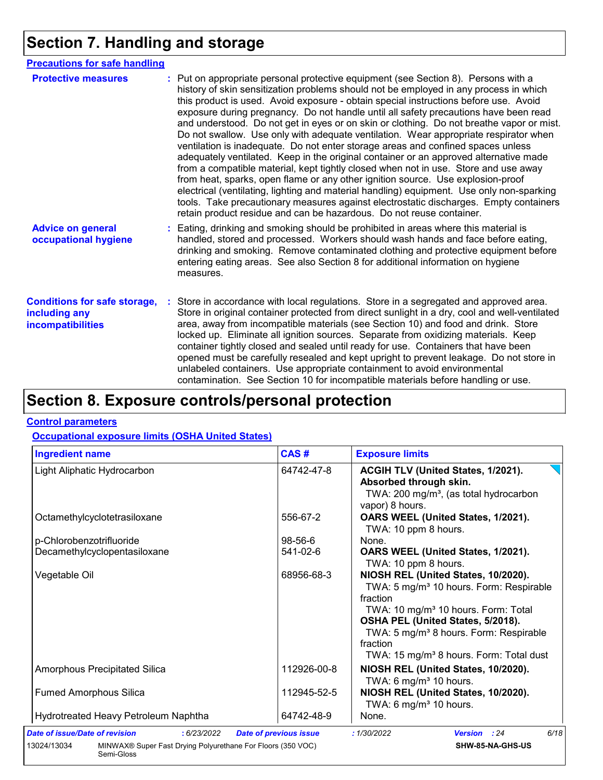# **Section 7. Handling and storage**

| <b>Precautions for safe handling</b>                                      |                                                                                                                                                                                                                                                                                                                                                                                                                                                                                                                                                                                                                                                                                                                                                                                                                                                                                                                                                                                                                                                                                                                                                                      |
|---------------------------------------------------------------------------|----------------------------------------------------------------------------------------------------------------------------------------------------------------------------------------------------------------------------------------------------------------------------------------------------------------------------------------------------------------------------------------------------------------------------------------------------------------------------------------------------------------------------------------------------------------------------------------------------------------------------------------------------------------------------------------------------------------------------------------------------------------------------------------------------------------------------------------------------------------------------------------------------------------------------------------------------------------------------------------------------------------------------------------------------------------------------------------------------------------------------------------------------------------------|
| <b>Protective measures</b>                                                | : Put on appropriate personal protective equipment (see Section 8). Persons with a<br>history of skin sensitization problems should not be employed in any process in which<br>this product is used. Avoid exposure - obtain special instructions before use. Avoid<br>exposure during pregnancy. Do not handle until all safety precautions have been read<br>and understood. Do not get in eyes or on skin or clothing. Do not breathe vapor or mist.<br>Do not swallow. Use only with adequate ventilation. Wear appropriate respirator when<br>ventilation is inadequate. Do not enter storage areas and confined spaces unless<br>adequately ventilated. Keep in the original container or an approved alternative made<br>from a compatible material, kept tightly closed when not in use. Store and use away<br>from heat, sparks, open flame or any other ignition source. Use explosion-proof<br>electrical (ventilating, lighting and material handling) equipment. Use only non-sparking<br>tools. Take precautionary measures against electrostatic discharges. Empty containers<br>retain product residue and can be hazardous. Do not reuse container. |
| <b>Advice on general</b><br>occupational hygiene                          | Eating, drinking and smoking should be prohibited in areas where this material is<br>handled, stored and processed. Workers should wash hands and face before eating,<br>drinking and smoking. Remove contaminated clothing and protective equipment before<br>entering eating areas. See also Section 8 for additional information on hygiene<br>measures.                                                                                                                                                                                                                                                                                                                                                                                                                                                                                                                                                                                                                                                                                                                                                                                                          |
| <b>Conditions for safe storage,</b><br>including any<br>incompatibilities | Store in accordance with local regulations. Store in a segregated and approved area.<br>Store in original container protected from direct sunlight in a dry, cool and well-ventilated<br>area, away from incompatible materials (see Section 10) and food and drink. Store<br>locked up. Eliminate all ignition sources. Separate from oxidizing materials. Keep<br>container tightly closed and sealed until ready for use. Containers that have been<br>opened must be carefully resealed and kept upright to prevent leakage. Do not store in<br>unlabeled containers. Use appropriate containment to avoid environmental<br>contamination. See Section 10 for incompatible materials before handling or use.                                                                                                                                                                                                                                                                                                                                                                                                                                                     |

# **Section 8. Exposure controls/personal protection**

#### **Control parameters**

#### **Occupational exposure limits (OSHA United States)**

| <b>Ingredient name</b>                                                                   | CAS#                          | <b>Exposure limits</b>                                                                                                                                                                                                                                                                                                  |
|------------------------------------------------------------------------------------------|-------------------------------|-------------------------------------------------------------------------------------------------------------------------------------------------------------------------------------------------------------------------------------------------------------------------------------------------------------------------|
| Light Aliphatic Hydrocarbon                                                              | 64742-47-8                    | ACGIH TLV (United States, 1/2021).<br>Absorbed through skin.<br>TWA: 200 mg/m <sup>3</sup> , (as total hydrocarbon<br>vapor) 8 hours.                                                                                                                                                                                   |
| Octamethylcyclotetrasiloxane                                                             | 556-67-2                      | OARS WEEL (United States, 1/2021).<br>TWA: 10 ppm 8 hours.                                                                                                                                                                                                                                                              |
| p-Chlorobenzotrifluoride                                                                 | $98-56-6$                     | None.                                                                                                                                                                                                                                                                                                                   |
| Decamethylcyclopentasiloxane                                                             | 541-02-6                      | OARS WEEL (United States, 1/2021).<br>TWA: 10 ppm 8 hours.                                                                                                                                                                                                                                                              |
| Vegetable Oil                                                                            | 68956-68-3                    | NIOSH REL (United States, 10/2020).<br>TWA: 5 mg/m <sup>3</sup> 10 hours. Form: Respirable<br>fraction<br>TWA: 10 mg/m <sup>3</sup> 10 hours. Form: Total<br>OSHA PEL (United States, 5/2018).<br>TWA: 5 mg/m <sup>3</sup> 8 hours. Form: Respirable<br>fraction<br>TWA: 15 mg/m <sup>3</sup> 8 hours. Form: Total dust |
| <b>Amorphous Precipitated Silica</b>                                                     | 112926-00-8                   | NIOSH REL (United States, 10/2020).<br>TWA: 6 mg/m <sup>3</sup> 10 hours.                                                                                                                                                                                                                                               |
| <b>Fumed Amorphous Silica</b>                                                            | 112945-52-5                   | NIOSH REL (United States, 10/2020).<br>TWA: 6 mg/m <sup>3</sup> 10 hours.                                                                                                                                                                                                                                               |
| Hydrotreated Heavy Petroleum Naphtha                                                     | 64742-48-9                    | None.                                                                                                                                                                                                                                                                                                                   |
| Date of issue/Date of revision<br>: 6/23/2022                                            | <b>Date of previous issue</b> | 6/18<br>: 1/30/2022<br>Version : 24                                                                                                                                                                                                                                                                                     |
| MINWAX® Super Fast Drying Polyurethane For Floors (350 VOC)<br>13024/13034<br>Semi-Gloss |                               | SHW-85-NA-GHS-US                                                                                                                                                                                                                                                                                                        |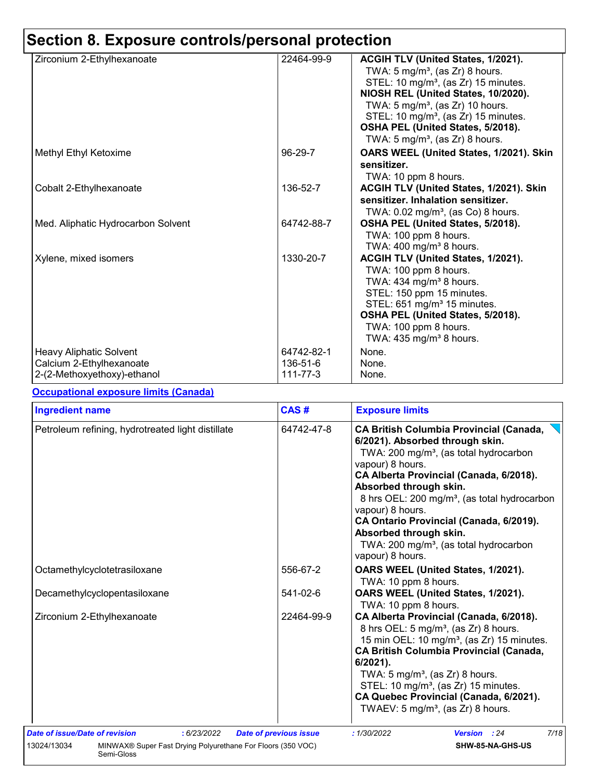# **Section 8. Exposure controls/personal protection**

| Zirconium 2-Ethylhexanoate                                                                | 22464-99-9                         | ACGIH TLV (United States, 1/2021).<br>TWA: $5 \text{ mg/m}^3$ , (as Zr) 8 hours.<br>STEL: 10 mg/m <sup>3</sup> , (as Zr) 15 minutes.<br>NIOSH REL (United States, 10/2020).<br>TWA: $5 \text{ mg/m}^3$ , (as Zr) 10 hours.<br>STEL: 10 mg/m <sup>3</sup> , (as Zr) 15 minutes.<br>OSHA PEL (United States, 5/2018).<br>TWA: 5 mg/m <sup>3</sup> , (as Zr) 8 hours. |
|-------------------------------------------------------------------------------------------|------------------------------------|--------------------------------------------------------------------------------------------------------------------------------------------------------------------------------------------------------------------------------------------------------------------------------------------------------------------------------------------------------------------|
| Methyl Ethyl Ketoxime                                                                     | 96-29-7                            | OARS WEEL (United States, 1/2021). Skin<br>sensitizer.<br>TWA: 10 ppm 8 hours.                                                                                                                                                                                                                                                                                     |
| Cobalt 2-Ethylhexanoate                                                                   | 136-52-7                           | ACGIH TLV (United States, 1/2021). Skin<br>sensitizer. Inhalation sensitizer.<br>TWA: $0.02$ mg/m <sup>3</sup> , (as Co) 8 hours.                                                                                                                                                                                                                                  |
| Med. Aliphatic Hydrocarbon Solvent                                                        | 64742-88-7                         | OSHA PEL (United States, 5/2018).<br>TWA: 100 ppm 8 hours.<br>TWA: $400 \text{ mg/m}^3$ 8 hours.                                                                                                                                                                                                                                                                   |
| Xylene, mixed isomers                                                                     | 1330-20-7                          | ACGIH TLV (United States, 1/2021).<br>TWA: 100 ppm 8 hours.<br>TWA: 434 mg/m <sup>3</sup> 8 hours.<br>STEL: 150 ppm 15 minutes.<br>STEL: 651 mg/m <sup>3</sup> 15 minutes.<br>OSHA PEL (United States, 5/2018).<br>TWA: 100 ppm 8 hours.<br>TWA: 435 mg/m <sup>3</sup> 8 hours.                                                                                    |
| <b>Heavy Aliphatic Solvent</b><br>Calcium 2-Ethylhexanoate<br>2-(2-Methoxyethoxy)-ethanol | 64742-82-1<br>136-51-6<br>111-77-3 | None.<br>None.<br>None.                                                                                                                                                                                                                                                                                                                                            |

#### **Occupational exposure limits (Canada)**

| <b>Ingredient name</b>                                                                                                      | CAS#                          | <b>Exposure limits</b>                                                                                                                                                                                                                                                                                                                                                                                                                                          |  |  |
|-----------------------------------------------------------------------------------------------------------------------------|-------------------------------|-----------------------------------------------------------------------------------------------------------------------------------------------------------------------------------------------------------------------------------------------------------------------------------------------------------------------------------------------------------------------------------------------------------------------------------------------------------------|--|--|
| Petroleum refining, hydrotreated light distillate                                                                           | 64742-47-8                    | <b>CA British Columbia Provincial (Canada,</b><br>6/2021). Absorbed through skin.<br>TWA: 200 mg/m <sup>3</sup> , (as total hydrocarbon<br>vapour) 8 hours.<br>CA Alberta Provincial (Canada, 6/2018).<br>Absorbed through skin.<br>8 hrs OEL: 200 mg/m <sup>3</sup> , (as total hydrocarbon<br>vapour) 8 hours.<br>CA Ontario Provincial (Canada, 6/2019).<br>Absorbed through skin.<br>TWA: 200 mg/m <sup>3</sup> , (as total hydrocarbon<br>vapour) 8 hours. |  |  |
| Octamethylcyclotetrasiloxane                                                                                                | 556-67-2                      | OARS WEEL (United States, 1/2021).<br>TWA: 10 ppm 8 hours.                                                                                                                                                                                                                                                                                                                                                                                                      |  |  |
| Decamethylcyclopentasiloxane                                                                                                | 541-02-6                      | OARS WEEL (United States, 1/2021).<br>TWA: 10 ppm 8 hours.                                                                                                                                                                                                                                                                                                                                                                                                      |  |  |
| Zirconium 2-Ethylhexanoate                                                                                                  | 22464-99-9                    | CA Alberta Provincial (Canada, 6/2018).<br>8 hrs OEL: 5 mg/m <sup>3</sup> , (as Zr) 8 hours.<br>15 min OEL: 10 mg/m <sup>3</sup> , (as Zr) 15 minutes.<br><b>CA British Columbia Provincial (Canada,</b><br>$6/2021$ ).<br>TWA: $5 \text{ mg/m}^3$ , (as Zr) 8 hours.<br>STEL: 10 mg/m <sup>3</sup> , (as Zr) 15 minutes.<br>CA Quebec Provincial (Canada, 6/2021).<br>TWAEV: $5 \text{ mg/m}^3$ , (as Zr) 8 hours.                                             |  |  |
| Date of issue/Date of revision<br>: 6/23/2022<br>MINWAX® Super Fast Drying Polyurethane For Floors (350 VOC)<br>13024/13034 | <b>Date of previous issue</b> | 7/18<br>: 1/30/2022<br><b>Version</b> : 24<br>SHW-85-NA-GHS-US                                                                                                                                                                                                                                                                                                                                                                                                  |  |  |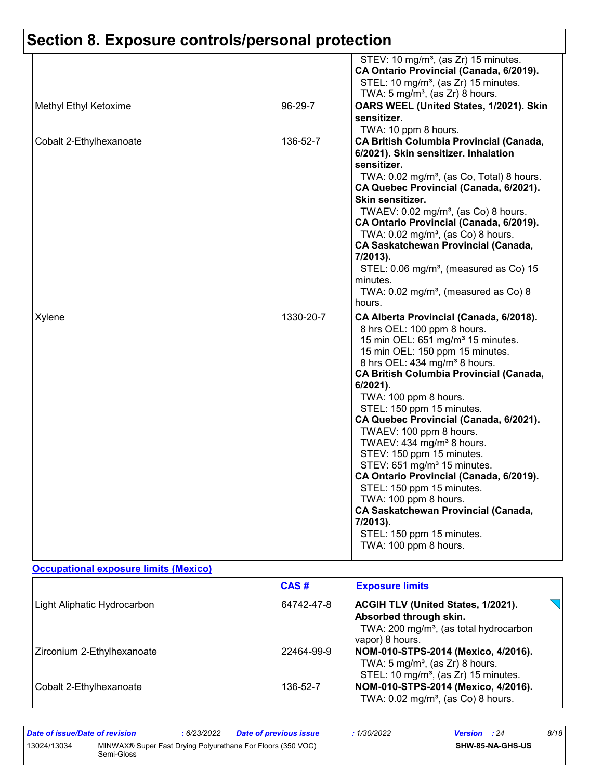# **Section 8. Exposure controls/personal protection**

| Methyl Ethyl Ketoxime   | 96-29-7   | STEV: 10 mg/m <sup>3</sup> , (as Zr) 15 minutes.<br>CA Ontario Provincial (Canada, 6/2019).<br>STEL: 10 mg/m <sup>3</sup> , (as Zr) 15 minutes.<br>TWA: $5 \text{ mg/m}^3$ , (as Zr) 8 hours.<br>OARS WEEL (United States, 1/2021). Skin                                                                                                                                                                                                                                                                             |
|-------------------------|-----------|----------------------------------------------------------------------------------------------------------------------------------------------------------------------------------------------------------------------------------------------------------------------------------------------------------------------------------------------------------------------------------------------------------------------------------------------------------------------------------------------------------------------|
| Cobalt 2-Ethylhexanoate | 136-52-7  | sensitizer.<br>TWA: 10 ppm 8 hours.<br><b>CA British Columbia Provincial (Canada,</b><br>6/2021). Skin sensitizer. Inhalation<br>sensitizer.<br>TWA: 0.02 mg/m <sup>3</sup> , (as Co, Total) 8 hours.<br>CA Quebec Provincial (Canada, 6/2021).<br>Skin sensitizer.<br>TWAEV: 0.02 mg/m <sup>3</sup> , (as Co) 8 hours.                                                                                                                                                                                              |
|                         |           | CA Ontario Provincial (Canada, 6/2019).<br>TWA: 0.02 mg/m <sup>3</sup> , (as Co) 8 hours.<br><b>CA Saskatchewan Provincial (Canada,</b><br>7/2013).<br>STEL: 0.06 mg/m <sup>3</sup> , (measured as Co) 15<br>minutes.<br>TWA: $0.02$ mg/m <sup>3</sup> , (measured as Co) 8<br>hours.                                                                                                                                                                                                                                |
| Xylene                  | 1330-20-7 | CA Alberta Provincial (Canada, 6/2018).<br>8 hrs OEL: 100 ppm 8 hours.<br>15 min OEL: 651 mg/m <sup>3</sup> 15 minutes.<br>15 min OEL: 150 ppm 15 minutes.<br>8 hrs OEL: 434 mg/m <sup>3</sup> 8 hours.<br><b>CA British Columbia Provincial (Canada,</b><br>$6/2021$ ).<br>TWA: 100 ppm 8 hours.<br>STEL: 150 ppm 15 minutes.<br>CA Quebec Provincial (Canada, 6/2021).<br>TWAEV: 100 ppm 8 hours.<br>TWAEV: 434 mg/m <sup>3</sup> 8 hours.<br>STEV: 150 ppm 15 minutes.<br>STEV: 651 mg/m <sup>3</sup> 15 minutes. |
|                         |           | CA Ontario Provincial (Canada, 6/2019).<br>STEL: 150 ppm 15 minutes.<br>TWA: 100 ppm 8 hours.<br><b>CA Saskatchewan Provincial (Canada,</b><br>7/2013).<br>STEL: 150 ppm 15 minutes.<br>TWA: 100 ppm 8 hours.                                                                                                                                                                                                                                                                                                        |

#### **Occupational exposure limits (Mexico)**

|                             | CAS#       | <b>Exposure limits</b>                                                                                                                |
|-----------------------------|------------|---------------------------------------------------------------------------------------------------------------------------------------|
| Light Aliphatic Hydrocarbon | 64742-47-8 | ACGIH TLV (United States, 1/2021).<br>Absorbed through skin.<br>TWA: 200 mg/m <sup>3</sup> , (as total hydrocarbon<br>vapor) 8 hours. |
| Zirconium 2-Ethylhexanoate  | 22464-99-9 | NOM-010-STPS-2014 (Mexico, 4/2016).<br>TWA: $5 \text{ mg/m}^3$ , (as Zr) 8 hours.<br>STEL: 10 mg/m <sup>3</sup> , (as Zr) 15 minutes. |
| Cobalt 2-Ethylhexanoate     | 136-52-7   | NOM-010-STPS-2014 (Mexico, 4/2016).<br>TWA: $0.02$ mg/m <sup>3</sup> , (as Co) 8 hours.                                               |

| Date of issue/Date of revision |            | 6/23/2022 | <b>Date of previous issue</b>                               | 1/30/2022 | <b>Version</b> : 24 |                         | 8/18 |
|--------------------------------|------------|-----------|-------------------------------------------------------------|-----------|---------------------|-------------------------|------|
| 13024/13034                    | Semi-Gloss |           | MINWAX® Super Fast Drying Polyurethane For Floors (350 VOC) |           |                     | <b>SHW-85-NA-GHS-US</b> |      |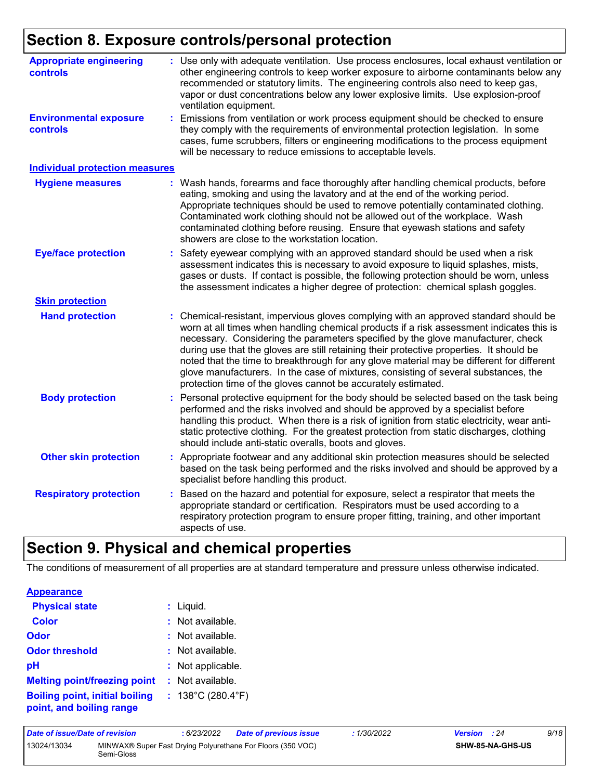# **Section 8. Exposure controls/personal protection**

| <b>Appropriate engineering</b><br>controls<br><b>Environmental exposure</b> | : Use only with adequate ventilation. Use process enclosures, local exhaust ventilation or<br>other engineering controls to keep worker exposure to airborne contaminants below any<br>recommended or statutory limits. The engineering controls also need to keep gas,<br>vapor or dust concentrations below any lower explosive limits. Use explosion-proof<br>ventilation equipment.<br>Emissions from ventilation or work process equipment should be checked to ensure                                                                                                                                          |
|-----------------------------------------------------------------------------|----------------------------------------------------------------------------------------------------------------------------------------------------------------------------------------------------------------------------------------------------------------------------------------------------------------------------------------------------------------------------------------------------------------------------------------------------------------------------------------------------------------------------------------------------------------------------------------------------------------------|
| <b>controls</b>                                                             | they comply with the requirements of environmental protection legislation. In some<br>cases, fume scrubbers, filters or engineering modifications to the process equipment<br>will be necessary to reduce emissions to acceptable levels.                                                                                                                                                                                                                                                                                                                                                                            |
| <b>Individual protection measures</b>                                       |                                                                                                                                                                                                                                                                                                                                                                                                                                                                                                                                                                                                                      |
| <b>Hygiene measures</b>                                                     | : Wash hands, forearms and face thoroughly after handling chemical products, before<br>eating, smoking and using the lavatory and at the end of the working period.<br>Appropriate techniques should be used to remove potentially contaminated clothing.<br>Contaminated work clothing should not be allowed out of the workplace. Wash<br>contaminated clothing before reusing. Ensure that eyewash stations and safety<br>showers are close to the workstation location.                                                                                                                                          |
| <b>Eye/face protection</b>                                                  | Safety eyewear complying with an approved standard should be used when a risk<br>assessment indicates this is necessary to avoid exposure to liquid splashes, mists,<br>gases or dusts. If contact is possible, the following protection should be worn, unless<br>the assessment indicates a higher degree of protection: chemical splash goggles.                                                                                                                                                                                                                                                                  |
| <b>Skin protection</b>                                                      |                                                                                                                                                                                                                                                                                                                                                                                                                                                                                                                                                                                                                      |
| <b>Hand protection</b>                                                      | Chemical-resistant, impervious gloves complying with an approved standard should be<br>worn at all times when handling chemical products if a risk assessment indicates this is<br>necessary. Considering the parameters specified by the glove manufacturer, check<br>during use that the gloves are still retaining their protective properties. It should be<br>noted that the time to breakthrough for any glove material may be different for different<br>glove manufacturers. In the case of mixtures, consisting of several substances, the<br>protection time of the gloves cannot be accurately estimated. |
| <b>Body protection</b>                                                      | Personal protective equipment for the body should be selected based on the task being<br>performed and the risks involved and should be approved by a specialist before<br>handling this product. When there is a risk of ignition from static electricity, wear anti-<br>static protective clothing. For the greatest protection from static discharges, clothing<br>should include anti-static overalls, boots and gloves.                                                                                                                                                                                         |
| <b>Other skin protection</b>                                                | : Appropriate footwear and any additional skin protection measures should be selected<br>based on the task being performed and the risks involved and should be approved by a<br>specialist before handling this product.                                                                                                                                                                                                                                                                                                                                                                                            |
| <b>Respiratory protection</b>                                               | Based on the hazard and potential for exposure, select a respirator that meets the<br>appropriate standard or certification. Respirators must be used according to a<br>respiratory protection program to ensure proper fitting, training, and other important<br>aspects of use.                                                                                                                                                                                                                                                                                                                                    |

# **Section 9. Physical and chemical properties**

The conditions of measurement of all properties are at standard temperature and pressure unless otherwise indicated.

| <b>Appearance</b>                                                 |                                        |
|-------------------------------------------------------------------|----------------------------------------|
| <b>Physical state</b>                                             | : Liquid.                              |
| <b>Color</b>                                                      | : Not available.                       |
| Odor                                                              | $:$ Not available.                     |
| <b>Odor threshold</b>                                             | : Not available.                       |
| рH                                                                | : Not applicable.                      |
| <b>Melting point/freezing point</b>                               | : Not available.                       |
| <b>Boiling point, initial boiling</b><br>point, and boiling range | : $138^{\circ}$ C (280.4 $^{\circ}$ F) |

| Date of issue/Date of revision |            | 6/23/2022 | <b>Date of previous issue</b>                               | : 1/30/2022 | <b>Version</b> : 24 |                  | 9/18 |
|--------------------------------|------------|-----------|-------------------------------------------------------------|-------------|---------------------|------------------|------|
| 13024/13034                    | Semi-Gloss |           | MINWAX® Super Fast Drying Polyurethane For Floors (350 VOC) |             |                     | SHW-85-NA-GHS-US |      |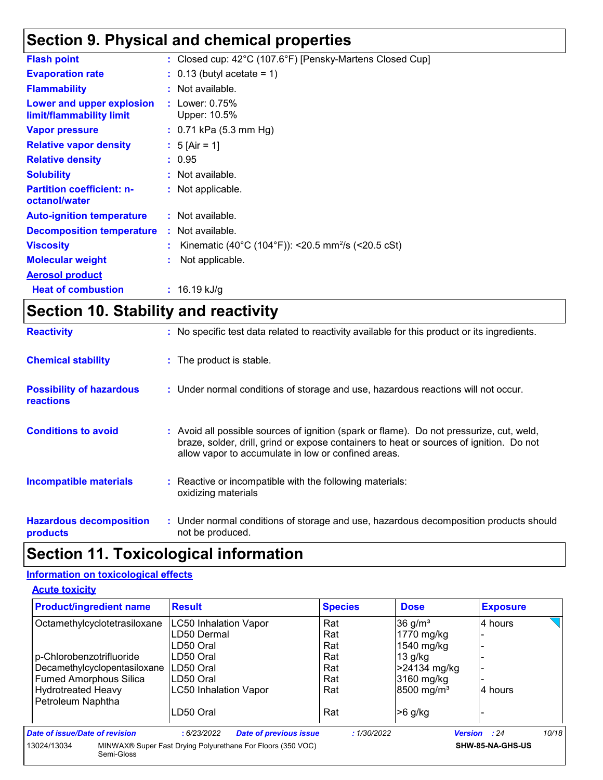### **Section 9. Physical and chemical properties**

| : Closed cup: $42^{\circ}$ C (107.6 $^{\circ}$ F) [Pensky-Martens Closed Cup] |
|-------------------------------------------------------------------------------|
| $: 0.13$ (butyl acetate = 1)                                                  |
| : Not available.                                                              |
| : Lower: $0.75\%$<br>Upper: 10.5%                                             |
| $: 0.71$ kPa (5.3 mm Hg)                                                      |
| : 5 [Air = 1]                                                                 |
| : 0.95                                                                        |
| : Not available.                                                              |
| : Not applicable.                                                             |
| : Not available.                                                              |
| : Not available.                                                              |
| Kinematic (40°C (104°F)): <20.5 mm <sup>2</sup> /s (<20.5 cSt)                |
| Not applicable.                                                               |
|                                                                               |
| : $16.19$ kJ/g                                                                |
|                                                                               |

# **Section 10. Stability and reactivity**

| <b>Reactivity</b>                                   | : No specific test data related to reactivity available for this product or its ingredients.                                                                                                                                               |
|-----------------------------------------------------|--------------------------------------------------------------------------------------------------------------------------------------------------------------------------------------------------------------------------------------------|
| <b>Chemical stability</b>                           | : The product is stable.                                                                                                                                                                                                                   |
| <b>Possibility of hazardous</b><br><b>reactions</b> | : Under normal conditions of storage and use, hazardous reactions will not occur.                                                                                                                                                          |
| <b>Conditions to avoid</b>                          | : Avoid all possible sources of ignition (spark or flame). Do not pressurize, cut, weld,<br>braze, solder, drill, grind or expose containers to heat or sources of ignition. Do not<br>allow vapor to accumulate in low or confined areas. |
| <b>Incompatible materials</b>                       | : Reactive or incompatible with the following materials:<br>oxidizing materials                                                                                                                                                            |
| <b>Hazardous decomposition</b><br>products          | : Under normal conditions of storage and use, hazardous decomposition products should<br>not be produced.                                                                                                                                  |

### **Section 11. Toxicological information**

#### **Information on toxicological effects**

#### **Acute toxicity**

| <b>Product/ingredient name</b>                 | <b>Result</b>                                               | <b>Species</b> | <b>Dose</b>            | <b>Exposure</b>              |
|------------------------------------------------|-------------------------------------------------------------|----------------|------------------------|------------------------------|
| Octamethylcyclotetrasiloxane                   | <b>LC50 Inhalation Vapor</b>                                | Rat            | $36$ g/m <sup>3</sup>  | 4 hours                      |
|                                                | LD50 Dermal                                                 | Rat            | 1770 mg/kg             |                              |
|                                                | LD50 Oral                                                   | Rat            | 1540 mg/kg             |                              |
| p-Chlorobenzotrifluoride                       | LD50 Oral                                                   | Rat            | $13$ g/kg              |                              |
| Decamethylcyclopentasiloxane                   | LD50 Oral                                                   | Rat            | >24134 mg/kg           | $\blacksquare$               |
| <b>Fumed Amorphous Silica</b>                  | LD50 Oral                                                   | Rat            | 3160 mg/kg             |                              |
| <b>Hydrotreated Heavy</b><br>Petroleum Naphtha | <b>LC50 Inhalation Vapor</b>                                | Rat            | 8500 mg/m <sup>3</sup> | 4 hours                      |
|                                                | LD50 Oral                                                   | Rat            | $>6$ g/kg              |                              |
| Date of issue/Date of revision                 | <b>Date of previous issue</b><br>: 6/23/2022                | :1/30/2022     |                        | 10/18<br><b>Version</b> : 24 |
| 13024/13034<br>Semi-Gloss                      | MINWAX® Super Fast Drying Polyurethane For Floors (350 VOC) |                |                        | SHW-85-NA-GHS-US             |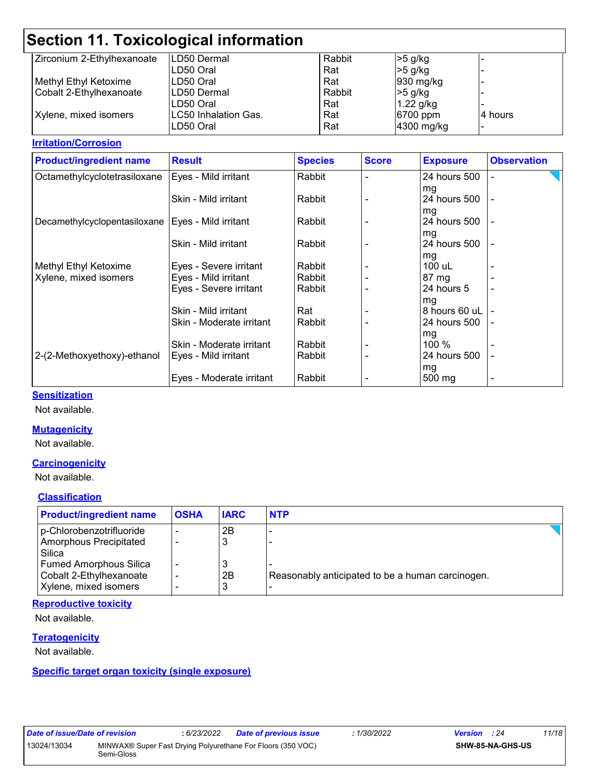| Zirconium 2-Ethylhexanoate | <b>ILD50 Dermal</b>  | Rabbit | $>5$ g/kg  |                          |
|----------------------------|----------------------|--------|------------|--------------------------|
|                            | LD50 Oral            | Rat    | $>5$ g/kg  |                          |
| Methyl Ethyl Ketoxime      | ILD50 Oral           | Rat    | 930 mg/kg  |                          |
| Cobalt 2-Ethylhexanoate    | ILD50 Dermal         | Rabbit | $>5$ g/kg  |                          |
|                            | LD50 Oral            | Rat    | 1.22 g/kg  |                          |
| Xylene, mixed isomers      | LC50 Inhalation Gas. | Rat    | 6700 ppm   | 4 hours                  |
|                            | LD50 Oral            | Rat    | 4300 mg/kg | $\overline{\phantom{0}}$ |

#### **Irritation/Corrosion**

| <b>Product/ingredient name</b> | <b>Result</b>            | <b>Species</b> | <b>Score</b> | <b>Exposure</b>     | <b>Observation</b> |
|--------------------------------|--------------------------|----------------|--------------|---------------------|--------------------|
| Octamethylcyclotetrasiloxane   | Eyes - Mild irritant     | Rabbit         |              | 24 hours 500        | ÷                  |
|                                |                          |                |              | mg                  |                    |
|                                | Skin - Mild irritant     | Rabbit         |              | 24 hours 500        |                    |
|                                |                          |                |              | mg                  |                    |
| Decamethylcyclopentasiloxane   | Eyes - Mild irritant     | Rabbit         |              | 24 hours 500        |                    |
|                                |                          |                |              | mg                  |                    |
|                                | Skin - Mild irritant     | Rabbit         |              | 24 hours 500        |                    |
|                                |                          |                |              | mg                  |                    |
| Methyl Ethyl Ketoxime          | Eyes - Severe irritant   | Rabbit         |              | 100 uL              |                    |
| Xylene, mixed isomers          | Eyes - Mild irritant     | Rabbit         |              | $87 \text{ mg}$     |                    |
|                                | Eyes - Severe irritant   | Rabbit         |              | 24 hours 5          |                    |
|                                |                          |                |              | mg                  |                    |
|                                | Skin - Mild irritant     | Rat            |              | 8 hours 60 uL       |                    |
|                                | Skin - Moderate irritant | Rabbit         |              | 24 hours 500        | $\overline{a}$     |
|                                |                          |                |              | mg                  |                    |
|                                | Skin - Moderate irritant | Rabbit         |              | 100 %               |                    |
| 2-(2-Methoxyethoxy)-ethanol    | Eyes - Mild irritant     | Rabbit         |              | 24 hours 500        |                    |
|                                |                          |                |              | mg                  |                    |
|                                | Eyes - Moderate irritant | Rabbit         |              | $500 \,\mathrm{mg}$ | -                  |

#### **Sensitization**

Not available.

#### **Mutagenicity**

Not available.

#### **Carcinogenicity**

Not available.

#### **Classification**

| <b>Product/ingredient name</b>   | <b>OSHA</b> | <b>IARC</b> | <b>NTP</b>                                       |  |
|----------------------------------|-------------|-------------|--------------------------------------------------|--|
| p-Chlorobenzotrifluoride         |             | 2B          |                                                  |  |
| Amorphous Precipitated<br>Silica |             | 3           |                                                  |  |
| <b>Fumed Amorphous Silica</b>    |             | 3           |                                                  |  |
| Cobalt 2-Ethylhexanoate          |             | 2B          | Reasonably anticipated to be a human carcinogen. |  |
| Xylene, mixed isomers            |             | 3           |                                                  |  |

#### **Reproductive toxicity**

Not available.

#### **Teratogenicity**

Not available.

#### **Specific target organ toxicity (single exposure)**

| Date of issue/Date of revision |            | : 6/23/2022 | <b>Date of previous issue</b>                               | : 1/30/2022 | <b>Version</b> : 24     | 11/18 |
|--------------------------------|------------|-------------|-------------------------------------------------------------|-------------|-------------------------|-------|
| 13024/13034                    | Semi-Gloss |             | MINWAX® Super Fast Drying Polyurethane For Floors (350 VOC) |             | <b>SHW-85-NA-GHS-US</b> |       |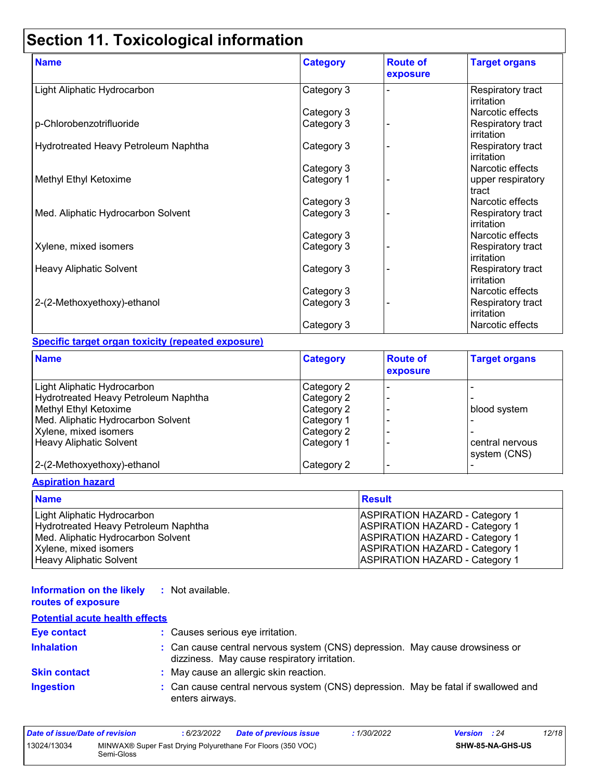| <b>Name</b>                          | <b>Category</b> | <b>Route of</b><br>exposure | <b>Target organs</b>            |
|--------------------------------------|-----------------|-----------------------------|---------------------------------|
| Light Aliphatic Hydrocarbon          | Category 3      |                             | Respiratory tract<br>irritation |
|                                      | Category 3      |                             | Narcotic effects                |
| p-Chlorobenzotrifluoride             | Category 3      |                             | Respiratory tract<br>irritation |
| Hydrotreated Heavy Petroleum Naphtha | Category 3      |                             | Respiratory tract<br>irritation |
|                                      | Category 3      |                             | Narcotic effects                |
| Methyl Ethyl Ketoxime                | Category 1      |                             | upper respiratory<br>tract      |
|                                      | Category 3      |                             | Narcotic effects                |
| Med. Aliphatic Hydrocarbon Solvent   | Category 3      |                             | Respiratory tract<br>irritation |
|                                      | Category 3      |                             | Narcotic effects                |
| Xylene, mixed isomers                | Category 3      |                             | Respiratory tract<br>irritation |
| <b>Heavy Aliphatic Solvent</b>       | Category 3      |                             | Respiratory tract<br>irritation |
|                                      | Category 3      |                             | Narcotic effects                |
| 2-(2-Methoxyethoxy)-ethanol          | Category 3      |                             | Respiratory tract<br>irritation |
|                                      | Category 3      |                             | Narcotic effects                |

#### **Specific target organ toxicity (repeated exposure)**

| <b>Name</b>                          | <b>Category</b> | <b>Route of</b><br>exposure | <b>Target organs</b> |
|--------------------------------------|-----------------|-----------------------------|----------------------|
| Light Aliphatic Hydrocarbon          | Category 2      |                             |                      |
| Hydrotreated Heavy Petroleum Naphtha | Category 2      |                             |                      |
| Methyl Ethyl Ketoxime                | Category 2      |                             | blood system         |
| Med. Aliphatic Hydrocarbon Solvent   | Category 1      |                             |                      |
| Xylene, mixed isomers                | Category 2      |                             |                      |
| <b>Heavy Aliphatic Solvent</b>       | Category 1      |                             | central nervous      |
|                                      |                 |                             | system (CNS)         |
| 2-(2-Methoxyethoxy)-ethanol          | Category 2      |                             |                      |

#### **Aspiration hazard**

| <b>Name</b>                          | Result                                |
|--------------------------------------|---------------------------------------|
| Light Aliphatic Hydrocarbon          | <b>ASPIRATION HAZARD - Category 1</b> |
| Hydrotreated Heavy Petroleum Naphtha | <b>ASPIRATION HAZARD - Category 1</b> |
| Med. Aliphatic Hydrocarbon Solvent   | <b>ASPIRATION HAZARD - Category 1</b> |
| Xylene, mixed isomers                | <b>ASPIRATION HAZARD - Category 1</b> |
| Heavy Aliphatic Solvent              | <b>ASPIRATION HAZARD - Category 1</b> |

#### **Information on the likely routes of exposure :** Not available.

| <b>NOUNCO OF CAPOSUIC</b>             |                                                                              |
|---------------------------------------|------------------------------------------------------------------------------|
| <b>Potential acute health effects</b> |                                                                              |
| Eye contact                           | : Causes serious eye irritation.                                             |
| <b>Inhalation</b>                     | : Can cause central nervous system (CNS) depression. May cause drowsiness or |

|                     | <u>, additional individual increase and increase in the problem.</u><br>dizziness. May cause respiratory irritation. |
|---------------------|----------------------------------------------------------------------------------------------------------------------|
| <b>Skin contact</b> | May cause an allergic skin reaction.                                                                                 |
| <b>Ingestion</b>    | : Can cause central nervous system (CNS) depression. May be fatal if swallowed and<br>enters airways.                |

| Date of issue/Date of revision |            | : 6/23/2022 | <b>Date of previous issue</b>                               | 1/30/2022 | <b>Version</b> : 24 |                  | 12/18 |
|--------------------------------|------------|-------------|-------------------------------------------------------------|-----------|---------------------|------------------|-------|
| 13024/13034                    | Semi-Gloss |             | MINWAX® Super Fast Drying Polyurethane For Floors (350 VOC) |           |                     | SHW-85-NA-GHS-US |       |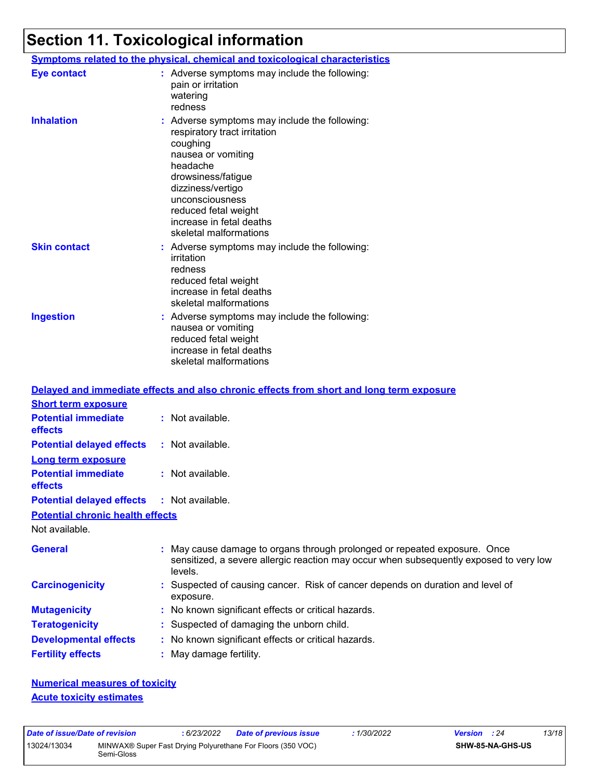|                     | Symptoms related to the physical, chemical and toxicological characteristics                                                                                                                                                                                            |
|---------------------|-------------------------------------------------------------------------------------------------------------------------------------------------------------------------------------------------------------------------------------------------------------------------|
| <b>Eye contact</b>  | : Adverse symptoms may include the following:<br>pain or irritation<br>watering<br>redness                                                                                                                                                                              |
| <b>Inhalation</b>   | : Adverse symptoms may include the following:<br>respiratory tract irritation<br>coughing<br>nausea or vomiting<br>headache<br>drowsiness/fatigue<br>dizziness/vertigo<br>unconsciousness<br>reduced fetal weight<br>increase in fetal deaths<br>skeletal malformations |
| <b>Skin contact</b> | : Adverse symptoms may include the following:<br>irritation<br>redness<br>reduced fetal weight<br>increase in fetal deaths<br>skeletal malformations                                                                                                                    |
| <b>Ingestion</b>    | : Adverse symptoms may include the following:<br>nausea or vomiting<br>reduced fetal weight<br>increase in fetal deaths<br>skeletal malformations                                                                                                                       |

|                                              | Delayed and immediate effects and also chronic effects from short and long term exposure                                                                                       |  |
|----------------------------------------------|--------------------------------------------------------------------------------------------------------------------------------------------------------------------------------|--|
| <b>Short term exposure</b>                   |                                                                                                                                                                                |  |
| <b>Potential immediate</b><br><b>effects</b> | $:$ Not available.                                                                                                                                                             |  |
| <b>Potential delayed effects</b>             | : Not available.                                                                                                                                                               |  |
| <b>Long term exposure</b>                    |                                                                                                                                                                                |  |
| <b>Potential immediate</b><br><b>effects</b> | $\therefore$ Not available.                                                                                                                                                    |  |
| <b>Potential delayed effects</b>             | : Not available.                                                                                                                                                               |  |
| <b>Potential chronic health effects</b>      |                                                                                                                                                                                |  |
| Not available.                               |                                                                                                                                                                                |  |
| <b>General</b>                               | : May cause damage to organs through prolonged or repeated exposure. Once<br>sensitized, a severe allergic reaction may occur when subsequently exposed to very low<br>levels. |  |
| <b>Carcinogenicity</b>                       | : Suspected of causing cancer. Risk of cancer depends on duration and level of<br>exposure.                                                                                    |  |
| <b>Mutagenicity</b>                          | : No known significant effects or critical hazards.                                                                                                                            |  |
| <b>Teratogenicity</b>                        | : Suspected of damaging the unborn child.                                                                                                                                      |  |
| <b>Developmental effects</b>                 | : No known significant effects or critical hazards.                                                                                                                            |  |
| <b>Fertility effects</b>                     | : May damage fertility.                                                                                                                                                        |  |

#### **Numerical measures of toxicity Acute toxicity estimates**

| Date of issue/Date of revision |            | : 6/23/2022 | <b>Date of previous issue</b>                               | : 1/30/2022 | <b>Version</b> : 24 |                         | 13/18 |
|--------------------------------|------------|-------------|-------------------------------------------------------------|-------------|---------------------|-------------------------|-------|
| 13024/13034                    | Semi-Gloss |             | MINWAX® Super Fast Drying Polyurethane For Floors (350 VOC) |             |                     | <b>SHW-85-NA-GHS-US</b> |       |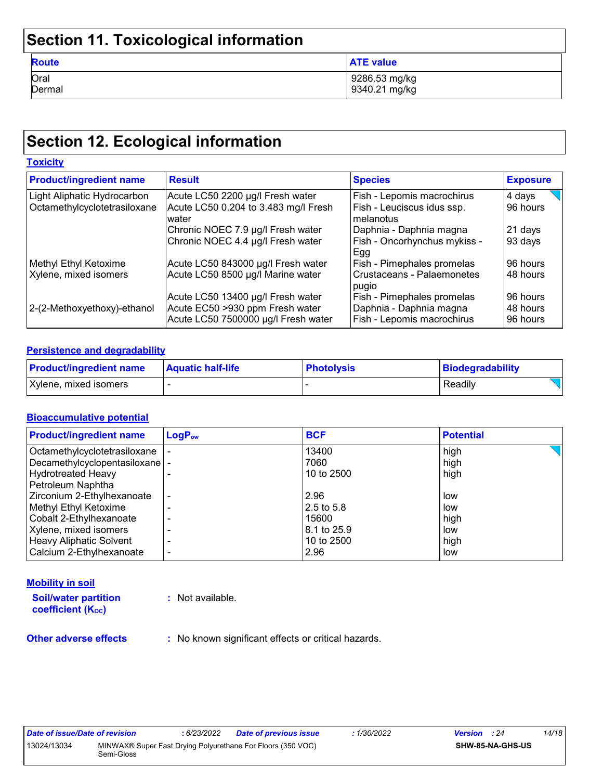| <b>Route</b> | <b>ATE value</b> |
|--------------|------------------|
| Oral         | 9286.53 mg/kg    |
| Dermal       | 9340.21 mg/kg    |

# **Section 12. Ecological information**

| <b>Toxicity</b>                |                                                                                                             |                                                                                     |                                  |
|--------------------------------|-------------------------------------------------------------------------------------------------------------|-------------------------------------------------------------------------------------|----------------------------------|
| <b>Product/ingredient name</b> | <b>Result</b>                                                                                               | <b>Species</b>                                                                      | <b>Exposure</b>                  |
| Light Aliphatic Hydrocarbon    | Acute LC50 2200 µg/l Fresh water                                                                            | Fish - Lepomis macrochirus                                                          | 4 days                           |
| Octamethylcyclotetrasiloxane   | Acute LC50 0.204 to 3.483 mg/l Fresh<br>water                                                               | Fish - Leuciscus idus ssp.<br>l melanotus                                           | 96 hours                         |
|                                | Chronic NOEC 7.9 µg/l Fresh water                                                                           | Daphnia - Daphnia magna                                                             | 21 days                          |
|                                | Chronic NOEC 4.4 µg/l Fresh water                                                                           | Fish - Oncorhynchus mykiss -<br><b>Egg</b>                                          | 93 days                          |
| Methyl Ethyl Ketoxime          | Acute LC50 843000 µg/l Fresh water                                                                          | Fish - Pimephales promelas                                                          | 96 hours                         |
| Xylene, mixed isomers          | Acute LC50 8500 µg/l Marine water                                                                           | l Crustaceans - Palaemonetes<br>pugio                                               | 48 hours                         |
| 2-(2-Methoxyethoxy)-ethanol    | Acute LC50 13400 µg/l Fresh water<br>Acute EC50 >930 ppm Fresh water<br>Acute LC50 7500000 µg/l Fresh water | Fish - Pimephales promelas<br>Daphnia - Daphnia magna<br>Fish - Lepomis macrochirus | 96 hours<br>48 hours<br>96 hours |

#### **Persistence and degradability**

| <b>Product/ingredient name</b> | <b>Aquatic half-life</b> | <b>Photolysis</b> | Biodegradability |
|--------------------------------|--------------------------|-------------------|------------------|
| Xylene, mixed isomers          |                          |                   | Readily          |

#### **Bioaccumulative potential**

| <b>Product/ingredient name</b>  | $LogP_{ow}$              | <b>BCF</b>  | <b>Potential</b> |
|---------------------------------|--------------------------|-------------|------------------|
| Octamethylcyclotetrasiloxane    |                          | 13400       | high             |
| Decamethylcyclopentasiloxane  - |                          | 7060        | high             |
| <b>Hydrotreated Heavy</b>       |                          | 10 to 2500  | high             |
| Petroleum Naphtha               |                          |             |                  |
| Zirconium 2-Ethylhexanoate      |                          | 2.96        | low              |
| Methyl Ethyl Ketoxime           |                          | 2.5 to 5.8  | low              |
| Cobalt 2-Ethylhexanoate         |                          | 15600       | high             |
| Xylene, mixed isomers           |                          | 8.1 to 25.9 | low              |
| <b>Heavy Aliphatic Solvent</b>  |                          | 10 to 2500  | high             |
| Calcium 2-Ethylhexanoate        | $\overline{\phantom{0}}$ | 2.96        | low              |

#### **Mobility in soil**

**Soil/water partition coefficient (KOC)**

**:** Not available.

**Other adverse effects** : No known significant effects or critical hazards.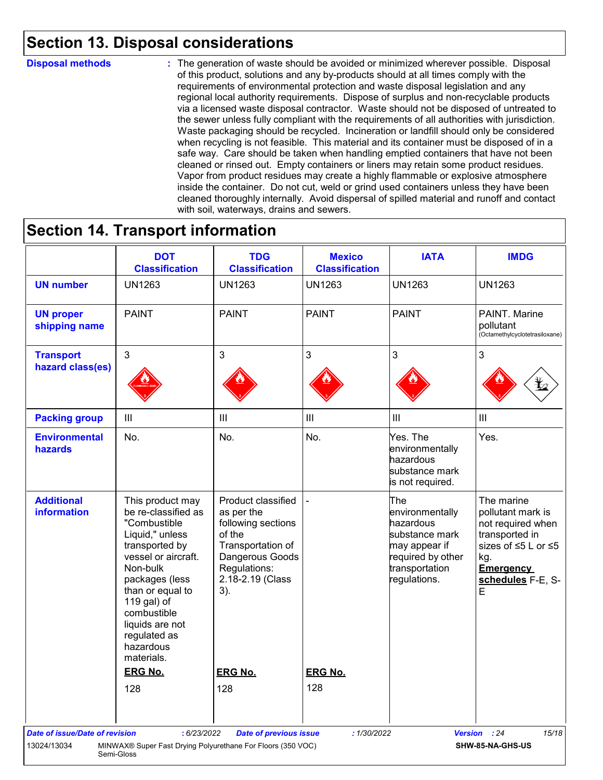### **Section 13. Disposal considerations**

#### **Disposal methods :**

The generation of waste should be avoided or minimized wherever possible. Disposal of this product, solutions and any by-products should at all times comply with the requirements of environmental protection and waste disposal legislation and any regional local authority requirements. Dispose of surplus and non-recyclable products via a licensed waste disposal contractor. Waste should not be disposed of untreated to the sewer unless fully compliant with the requirements of all authorities with jurisdiction. Waste packaging should be recycled. Incineration or landfill should only be considered when recycling is not feasible. This material and its container must be disposed of in a safe way. Care should be taken when handling emptied containers that have not been cleaned or rinsed out. Empty containers or liners may retain some product residues. Vapor from product residues may create a highly flammable or explosive atmosphere inside the container. Do not cut, weld or grind used containers unless they have been cleaned thoroughly internally. Avoid dispersal of spilled material and runoff and contact with soil, waterways, drains and sewers.

### **Section 14. Transport information**

|                                               | <b>DOT</b><br><b>Classification</b>                                                                                                                                                                                                                                                 | <b>TDG</b><br><b>Classification</b>                                                                                                                                   | <b>Mexico</b><br><b>Classification</b> | <b>IATA</b>                                                                                                                          | <b>IMDG</b>                                                                                                                                        |
|-----------------------------------------------|-------------------------------------------------------------------------------------------------------------------------------------------------------------------------------------------------------------------------------------------------------------------------------------|-----------------------------------------------------------------------------------------------------------------------------------------------------------------------|----------------------------------------|--------------------------------------------------------------------------------------------------------------------------------------|----------------------------------------------------------------------------------------------------------------------------------------------------|
| <b>UN number</b>                              | <b>UN1263</b>                                                                                                                                                                                                                                                                       | <b>UN1263</b>                                                                                                                                                         | <b>UN1263</b>                          | <b>UN1263</b>                                                                                                                        | <b>UN1263</b>                                                                                                                                      |
| <b>UN proper</b><br>shipping name             | <b>PAINT</b>                                                                                                                                                                                                                                                                        | <b>PAINT</b>                                                                                                                                                          | <b>PAINT</b>                           | <b>PAINT</b>                                                                                                                         | PAINT. Marine<br>pollutant<br>(Octamethylcyclotetrasiloxane)                                                                                       |
| <b>Transport</b><br>hazard class(es)          | 3                                                                                                                                                                                                                                                                                   | 3                                                                                                                                                                     | 3                                      | 3                                                                                                                                    | 3                                                                                                                                                  |
|                                               |                                                                                                                                                                                                                                                                                     |                                                                                                                                                                       |                                        |                                                                                                                                      |                                                                                                                                                    |
| <b>Packing group</b>                          | $\mathop{\rm III}$                                                                                                                                                                                                                                                                  | $\mathop{\rm III}$                                                                                                                                                    | $\ensuremath{\mathsf{III}}\xspace$     | III                                                                                                                                  | $\mathbf{III}$                                                                                                                                     |
| <b>Environmental</b><br>hazards               | No.                                                                                                                                                                                                                                                                                 | No.                                                                                                                                                                   | No.                                    | Yes. The<br>environmentally<br>hazardous<br>substance mark<br>is not required.                                                       | Yes.                                                                                                                                               |
| <b>Additional</b><br><b>information</b>       | This product may<br>be re-classified as<br>"Combustible<br>Liquid," unless<br>transported by<br>vessel or aircraft.<br>Non-bulk<br>packages (less<br>than or equal to<br>119 gal) of<br>combustible<br>liquids are not<br>regulated as<br>hazardous<br>materials.<br><b>ERG No.</b> | Product classified<br>as per the<br>following sections<br>of the<br>Transportation of<br>Dangerous Goods<br>Regulations:<br>2.18-2.19 (Class<br>3).<br><b>ERG No.</b> | <b>ERG No.</b>                         | <b>The</b><br>environmentally<br>hazardous<br>substance mark<br>may appear if<br>required by other<br>transportation<br>regulations. | The marine<br>pollutant mark is<br>not required when<br>transported in<br>sizes of ≤5 L or ≤5<br>kg.<br><b>Emergency</b><br>schedules F-E, S-<br>E |
|                                               | 128                                                                                                                                                                                                                                                                                 | 128                                                                                                                                                                   | 128                                    |                                                                                                                                      |                                                                                                                                                    |
| Date of issue/Date of revision<br>13024/13034 | : 6/23/2022<br>MINWAX® Super Fast Drying Polyurethane For Floors (350 VOC)<br>Semi-Gloss                                                                                                                                                                                            | <b>Date of previous issue</b>                                                                                                                                         | : 1/30/2022                            |                                                                                                                                      | 15/18<br>Version : 24<br>SHW-85-NA-GHS-US                                                                                                          |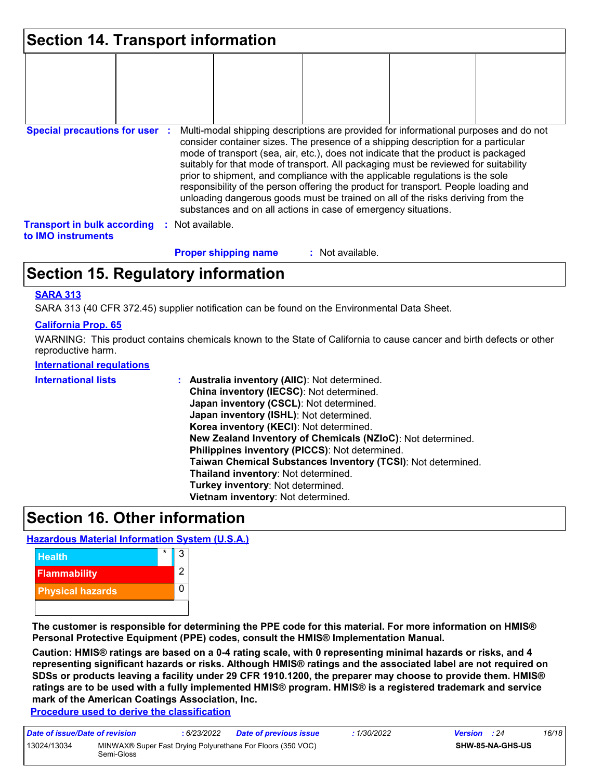| <b>Section 14. Transport information</b>                 |                                                                                                                                                                                                                                                                                                                                                                                                                                                                                                                                                                                                                                                                                     |
|----------------------------------------------------------|-------------------------------------------------------------------------------------------------------------------------------------------------------------------------------------------------------------------------------------------------------------------------------------------------------------------------------------------------------------------------------------------------------------------------------------------------------------------------------------------------------------------------------------------------------------------------------------------------------------------------------------------------------------------------------------|
|                                                          |                                                                                                                                                                                                                                                                                                                                                                                                                                                                                                                                                                                                                                                                                     |
| <b>Special precautions for user :</b>                    | Multi-modal shipping descriptions are provided for informational purposes and do not<br>consider container sizes. The presence of a shipping description for a particular<br>mode of transport (sea, air, etc.), does not indicate that the product is packaged<br>suitably for that mode of transport. All packaging must be reviewed for suitability<br>prior to shipment, and compliance with the applicable regulations is the sole<br>responsibility of the person offering the product for transport. People loading and<br>unloading dangerous goods must be trained on all of the risks deriving from the<br>substances and on all actions in case of emergency situations. |
| <b>Transport in bulk according</b><br>to IMO instruments | : Not available.                                                                                                                                                                                                                                                                                                                                                                                                                                                                                                                                                                                                                                                                    |
|                                                          | <b>Proper shipping name</b><br>: Not available.                                                                                                                                                                                                                                                                                                                                                                                                                                                                                                                                                                                                                                     |

### **Section 15. Regulatory information**

#### **SARA 313**

SARA 313 (40 CFR 372.45) supplier notification can be found on the Environmental Data Sheet.

#### **California Prop. 65**

WARNING: This product contains chemicals known to the State of California to cause cancer and birth defects or other reproductive harm.

#### **International regulations**

| <b>International lists</b> | : Australia inventory (AIIC): Not determined.<br>China inventory (IECSC): Not determined.<br>Japan inventory (CSCL): Not determined.<br>Japan inventory (ISHL): Not determined.<br>Korea inventory (KECI): Not determined.<br>New Zealand Inventory of Chemicals (NZIoC): Not determined.<br>Philippines inventory (PICCS): Not determined.<br>Taiwan Chemical Substances Inventory (TCSI): Not determined.<br>Thailand inventory: Not determined.<br>Turkey inventory: Not determined.<br>Vietnam inventory: Not determined. |
|----------------------------|-------------------------------------------------------------------------------------------------------------------------------------------------------------------------------------------------------------------------------------------------------------------------------------------------------------------------------------------------------------------------------------------------------------------------------------------------------------------------------------------------------------------------------|
|----------------------------|-------------------------------------------------------------------------------------------------------------------------------------------------------------------------------------------------------------------------------------------------------------------------------------------------------------------------------------------------------------------------------------------------------------------------------------------------------------------------------------------------------------------------------|

### **Section 16. Other information**

#### **Hazardous Material Information System (U.S.A.)**



**The customer is responsible for determining the PPE code for this material. For more information on HMIS® Personal Protective Equipment (PPE) codes, consult the HMIS® Implementation Manual.**

**Caution: HMIS® ratings are based on a 0-4 rating scale, with 0 representing minimal hazards or risks, and 4 representing significant hazards or risks. Although HMIS® ratings and the associated label are not required on SDSs or products leaving a facility under 29 CFR 1910.1200, the preparer may choose to provide them. HMIS® ratings are to be used with a fully implemented HMIS® program. HMIS® is a registered trademark and service mark of the American Coatings Association, Inc.**

**Procedure used to derive the classification**

| Date of issue/Date of revision |            | 6/23/2022 | <b>Date of previous issue</b>                               | : 1/30/2022 | <b>Version</b> : 24 |                  | 16/18 |
|--------------------------------|------------|-----------|-------------------------------------------------------------|-------------|---------------------|------------------|-------|
| 13024/13034                    | Semi-Gloss |           | MINWAX® Super Fast Drying Polyurethane For Floors (350 VOC) |             |                     | SHW-85-NA-GHS-US |       |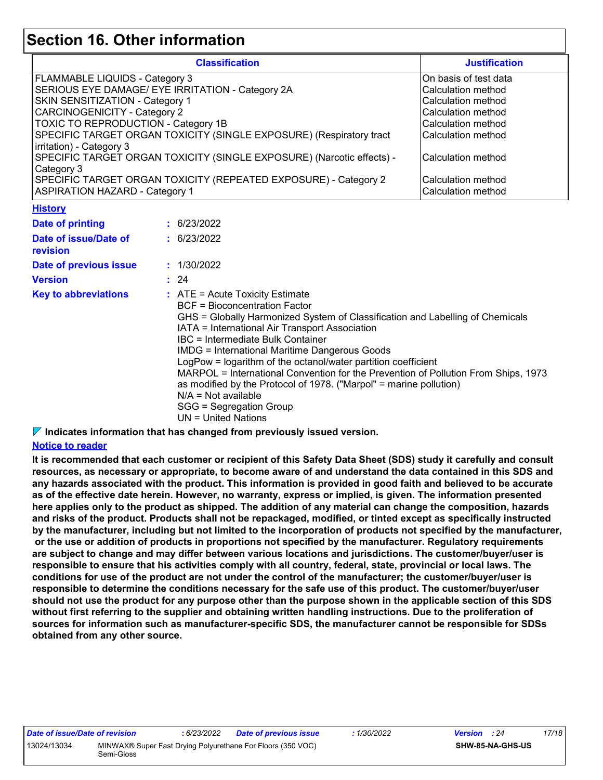### **Section 16. Other information**

|                                                                               |                          | <b>Classification</b>                                                                                                                                                                                                                                                                                                                                                                                                                                                                                                                                                                                                      | <b>Justification</b>  |  |  |  |  |  |  |
|-------------------------------------------------------------------------------|--------------------------|----------------------------------------------------------------------------------------------------------------------------------------------------------------------------------------------------------------------------------------------------------------------------------------------------------------------------------------------------------------------------------------------------------------------------------------------------------------------------------------------------------------------------------------------------------------------------------------------------------------------------|-----------------------|--|--|--|--|--|--|
| FLAMMABLE LIQUIDS - Category 3                                                |                          |                                                                                                                                                                                                                                                                                                                                                                                                                                                                                                                                                                                                                            | On basis of test data |  |  |  |  |  |  |
|                                                                               |                          | SERIOUS EYE DAMAGE/ EYE IRRITATION - Category 2A                                                                                                                                                                                                                                                                                                                                                                                                                                                                                                                                                                           | Calculation method    |  |  |  |  |  |  |
| SKIN SENSITIZATION - Category 1                                               |                          |                                                                                                                                                                                                                                                                                                                                                                                                                                                                                                                                                                                                                            | Calculation method    |  |  |  |  |  |  |
| <b>CARCINOGENICITY - Category 2</b>                                           |                          |                                                                                                                                                                                                                                                                                                                                                                                                                                                                                                                                                                                                                            | Calculation method    |  |  |  |  |  |  |
| TOXIC TO REPRODUCTION - Category 1B                                           |                          |                                                                                                                                                                                                                                                                                                                                                                                                                                                                                                                                                                                                                            | Calculation method    |  |  |  |  |  |  |
| SPECIFIC TARGET ORGAN TOXICITY (SINGLE EXPOSURE) (Respiratory tract           | Calculation method       |                                                                                                                                                                                                                                                                                                                                                                                                                                                                                                                                                                                                                            |                       |  |  |  |  |  |  |
|                                                                               | irritation) - Category 3 |                                                                                                                                                                                                                                                                                                                                                                                                                                                                                                                                                                                                                            |                       |  |  |  |  |  |  |
| SPECIFIC TARGET ORGAN TOXICITY (SINGLE EXPOSURE) (Narcotic effects) -         | Calculation method       |                                                                                                                                                                                                                                                                                                                                                                                                                                                                                                                                                                                                                            |                       |  |  |  |  |  |  |
| Category 3<br>SPECIFIC TARGET ORGAN TOXICITY (REPEATED EXPOSURE) - Category 2 |                          |                                                                                                                                                                                                                                                                                                                                                                                                                                                                                                                                                                                                                            |                       |  |  |  |  |  |  |
|                                                                               | Calculation method       |                                                                                                                                                                                                                                                                                                                                                                                                                                                                                                                                                                                                                            |                       |  |  |  |  |  |  |
| <b>ASPIRATION HAZARD - Category 1</b>                                         |                          |                                                                                                                                                                                                                                                                                                                                                                                                                                                                                                                                                                                                                            | Calculation method    |  |  |  |  |  |  |
| <b>History</b>                                                                |                          |                                                                                                                                                                                                                                                                                                                                                                                                                                                                                                                                                                                                                            |                       |  |  |  |  |  |  |
| <b>Date of printing</b>                                                       |                          | : 6/23/2022                                                                                                                                                                                                                                                                                                                                                                                                                                                                                                                                                                                                                |                       |  |  |  |  |  |  |
| Date of issue/Date of                                                         |                          | : 6/23/2022                                                                                                                                                                                                                                                                                                                                                                                                                                                                                                                                                                                                                |                       |  |  |  |  |  |  |
| revision                                                                      |                          |                                                                                                                                                                                                                                                                                                                                                                                                                                                                                                                                                                                                                            |                       |  |  |  |  |  |  |
| Date of previous issue                                                        |                          | : 1/30/2022                                                                                                                                                                                                                                                                                                                                                                                                                                                                                                                                                                                                                |                       |  |  |  |  |  |  |
| <b>Version</b>                                                                |                          | : 24                                                                                                                                                                                                                                                                                                                                                                                                                                                                                                                                                                                                                       |                       |  |  |  |  |  |  |
| <b>Key to abbreviations</b>                                                   |                          | $:$ ATE = Acute Toxicity Estimate<br><b>BCF</b> = Bioconcentration Factor<br>GHS = Globally Harmonized System of Classification and Labelling of Chemicals<br>IATA = International Air Transport Association<br><b>IBC</b> = Intermediate Bulk Container<br><b>IMDG = International Maritime Dangerous Goods</b><br>LogPow = logarithm of the octanol/water partition coefficient<br>MARPOL = International Convention for the Prevention of Pollution From Ships, 1973<br>as modified by the Protocol of 1978. ("Marpol" = marine pollution)<br>$N/A = Not available$<br>SGG = Segregation Group<br>$UN = United Nations$ |                       |  |  |  |  |  |  |

**Indicates information that has changed from previously issued version.**

#### **Notice to reader**

**It is recommended that each customer or recipient of this Safety Data Sheet (SDS) study it carefully and consult resources, as necessary or appropriate, to become aware of and understand the data contained in this SDS and any hazards associated with the product. This information is provided in good faith and believed to be accurate as of the effective date herein. However, no warranty, express or implied, is given. The information presented here applies only to the product as shipped. The addition of any material can change the composition, hazards and risks of the product. Products shall not be repackaged, modified, or tinted except as specifically instructed by the manufacturer, including but not limited to the incorporation of products not specified by the manufacturer, or the use or addition of products in proportions not specified by the manufacturer. Regulatory requirements are subject to change and may differ between various locations and jurisdictions. The customer/buyer/user is responsible to ensure that his activities comply with all country, federal, state, provincial or local laws. The conditions for use of the product are not under the control of the manufacturer; the customer/buyer/user is responsible to determine the conditions necessary for the safe use of this product. The customer/buyer/user should not use the product for any purpose other than the purpose shown in the applicable section of this SDS without first referring to the supplier and obtaining written handling instructions. Due to the proliferation of sources for information such as manufacturer-specific SDS, the manufacturer cannot be responsible for SDSs obtained from any other source.**